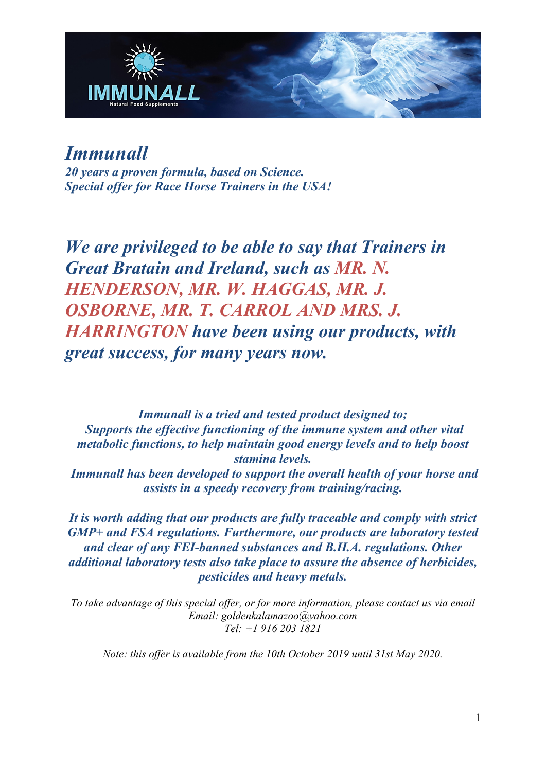

# *Immunall*

*20 years a proven formula, based on Science. Special offer for Race Horse Trainers in the USA!*

*We are privileged to be able to say that Trainers in Great Bratain and Ireland, such as MR. N. HENDERSON, MR. W. HAGGAS, MR. J. OSBORNE, MR. T. CARROL AND MRS. J. HARRINGTON have been using our products, with great success, for many years now.*

*Immunall is a tried and tested product designed to; Supports the effective functioning of the immune system and other vital metabolic functions, to help maintain good energy levels and to help boost stamina levels.*

*Immunall has been developed to support the overall health of your horse and assists in a speedy recovery from training/racing.*

*It is worth adding that our products are fully traceable and comply with strict GMP+ and FSA regulations. Furthermore, our products are laboratory tested and clear of any FEI-banned substances and B.H.A. regulations. Other additional laboratory tests also take place to assure the absence of herbicides, pesticides and heavy metals.*

*To take advantage of this special offer, or for more information, please contact us via email Email: goldenkalamazoo@yahoo.com Tel: +1 916 203 1821*

*Note: this offer is available from the 10th October 2019 until 31st May 2020.*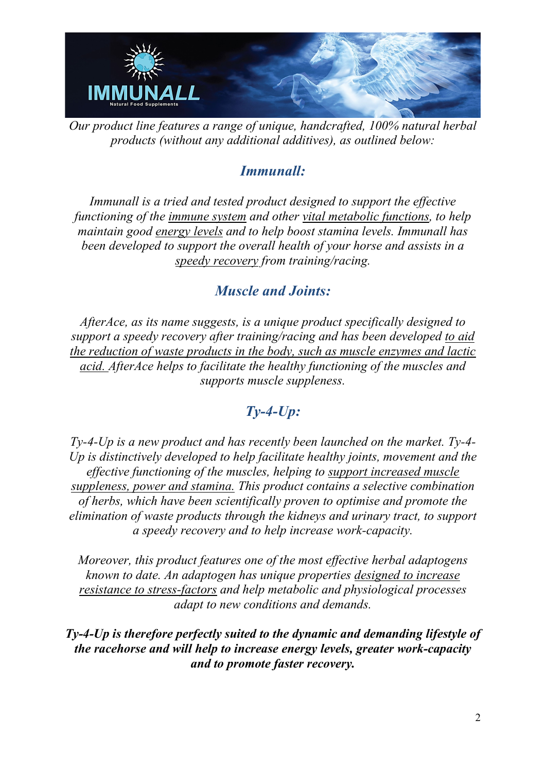

*Our product line features a range of unique, handcrafted, 100% natural herbal products (without any additional additives), as outlined below:*

### *Immunall:*

*Immunall is a tried and tested product designed to support the effective functioning of the immune system and other vital metabolic functions, to help maintain good energy levels and to help boost stamina levels. Immunall has been developed to support the overall health of your horse and assists in a speedy recovery from training/racing.*

### *Muscle and Joints:*

*AfterAce, as its name suggests, is a unique product specifically designed to support a speedy recovery after training/racing and has been developed to aid the reduction of waste products in the body, such as muscle enzymes and lactic acid. AfterAce helps to facilitate the healthy functioning of the muscles and supports muscle suppleness.* 

## *Ty-4-Up:*

*Ty-4-Up is a new product and has recently been launched on the market. Ty-4- Up is distinctively developed to help facilitate healthy joints, movement and the effective functioning of the muscles, helping to support increased muscle suppleness, power and stamina. This product contains a selective combination of herbs, which have been scientifically proven to optimise and promote the elimination of waste products through the kidneys and urinary tract, to support a speedy recovery and to help increase work-capacity.* 

*Moreover, this product features one of the most effective herbal adaptogens known to date. An adaptogen has unique properties designed to increase resistance to stress-factors and help metabolic and physiological processes adapt to new conditions and demands.* 

*Ty-4-Up is therefore perfectly suited to the dynamic and demanding lifestyle of the racehorse and will help to increase energy levels, greater work-capacity and to promote faster recovery.*